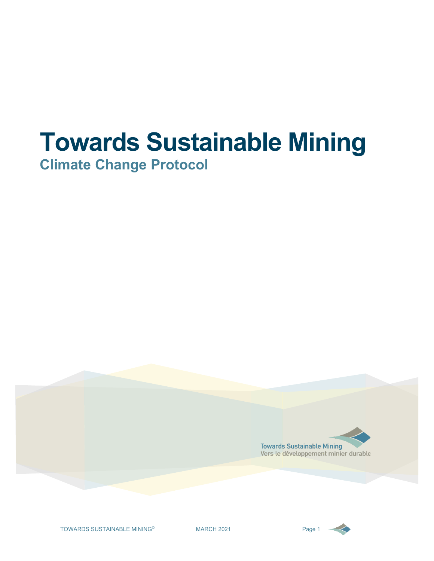# **Towards Sustainable Mining**

**Climate Change Protocol**



TOWARDS SUSTAINABLE MINING<sup>®</sup> MARCH 2021 Page 1

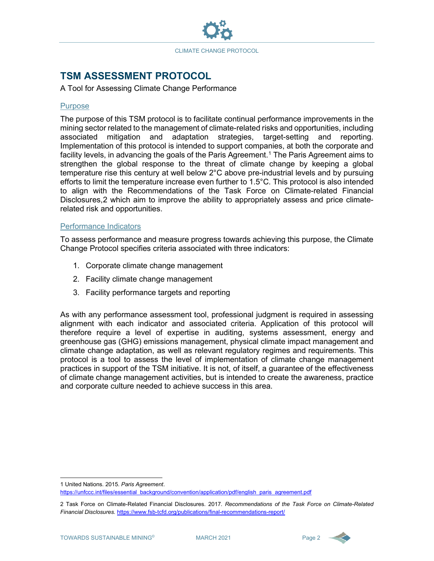

## **TSM ASSESSMENT PROTOCOL**<br>A Tool for Assessing Climate Change Performance

#### Purpose

The purpose of this TSM protocol is to facilitate continual performance improvements in the mining sector related to the management of climate-related risks and opportunities, including associated mitigation and adaptation strategies, target-setting and reporting. Implementation of this protocol is intended to support companies, at both the corporate and facility levels, in advancing the goals of the Paris Agreement. [1](#page-1-0) The Paris Agreement aims to strengthen the global response to the threat of climate change by keeping a global temperature rise this century at well below 2°C above pre-industrial levels and by pursuing efforts to limit the temperature increase even further to 1.5°C. This protocol is also intended to align with the Recommendations of the Task Force on Climate-related Financial Disclosures[,2](#page-1-1) which aim to improve the ability to appropriately assess and price climaterelated risk and opportunities.

#### Performance Indicators

To assess performance and measure progress towards achieving this purpose, the Climate Change Protocol specifies criteria associated with three indicators:

- 1. Corporate climate change management
- 2. Facility climate change management
- 3. Facility performance targets and reporting

As with any performance assessment tool, professional judgment is required in assessing alignment with each indicator and associated criteria. Application of this protocol will therefore require a level of expertise in auditing, systems assessment, energy and greenhouse gas (GHG) emissions management, physical climate impact management and climate change adaptation, as well as relevant regulatory regimes and requirements. This protocol is a tool to assess the level of implementation of climate change management practices in support of the TSM initiative. It is not, of itself, a guarantee of the effectiveness of climate change management activities, but is intended to create the awareness, practice and corporate culture needed to achieve success in this area.



<span id="page-1-0"></span><sup>1</sup> United Nations. 2015. *Paris Agreement*.

[https://unfccc.int/files/essential\\_background/convention/application/pdf/english\\_paris\\_agreement.pdf](https://unfccc.int/files/essential_background/convention/application/pdf/english_paris_agreement.pdf)

<span id="page-1-1"></span><sup>2</sup> Task Force on Climate-Related Financial Disclosures. 2017. *Recommendations of the Task Force on Climate-Related Financial Disclosures.* <https://www.fsb-tcfd.org/publications/final-recommendations-report/>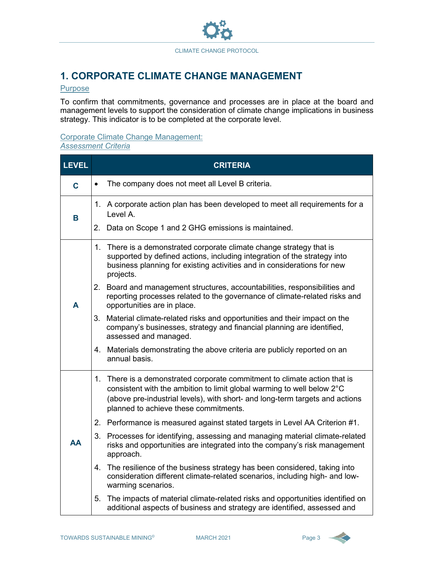

## **1. CORPORATE CLIMATE CHANGE MANAGEMENT**

#### **Purpose**

To confirm that commitments, governance and processes are in place at the board and management levels to support the consideration of climate change implications in business strategy. This indicator is to be completed at the corporate level.

### Corporate Climate Change Management:

## *Assessment Criteria*

| <b>LEVEL</b> | <b>CRITERIA</b>                                              |                                                                                                                                                                                                                                                                              |  |
|--------------|--------------------------------------------------------------|------------------------------------------------------------------------------------------------------------------------------------------------------------------------------------------------------------------------------------------------------------------------------|--|
| C            | The company does not meet all Level B criteria.<br>$\bullet$ |                                                                                                                                                                                                                                                                              |  |
| B            |                                                              | 1. A corporate action plan has been developed to meet all requirements for a<br>Level A.                                                                                                                                                                                     |  |
|              |                                                              | 2. Data on Scope 1 and 2 GHG emissions is maintained.                                                                                                                                                                                                                        |  |
|              |                                                              | 1. There is a demonstrated corporate climate change strategy that is<br>supported by defined actions, including integration of the strategy into<br>business planning for existing activities and in considerations for new<br>projects.                                     |  |
| A            |                                                              | 2. Board and management structures, accountabilities, responsibilities and<br>reporting processes related to the governance of climate-related risks and<br>opportunities are in place.                                                                                      |  |
|              |                                                              | 3. Material climate-related risks and opportunities and their impact on the<br>company's businesses, strategy and financial planning are identified,<br>assessed and managed.                                                                                                |  |
|              |                                                              | 4. Materials demonstrating the above criteria are publicly reported on an<br>annual basis.                                                                                                                                                                                   |  |
|              |                                                              | 1. There is a demonstrated corporate commitment to climate action that is<br>consistent with the ambition to limit global warming to well below 2°C<br>(above pre-industrial levels), with short- and long-term targets and actions<br>planned to achieve these commitments. |  |
|              |                                                              | 2. Performance is measured against stated targets in Level AA Criterion #1.                                                                                                                                                                                                  |  |
| AA           |                                                              | 3. Processes for identifying, assessing and managing material climate-related<br>risks and opportunities are integrated into the company's risk management<br>approach.                                                                                                      |  |
|              |                                                              | 4. The resilience of the business strategy has been considered, taking into<br>consideration different climate-related scenarios, including high- and low-<br>warming scenarios.                                                                                             |  |
|              |                                                              | 5. The impacts of material climate-related risks and opportunities identified on<br>additional aspects of business and strategy are identified, assessed and                                                                                                                 |  |

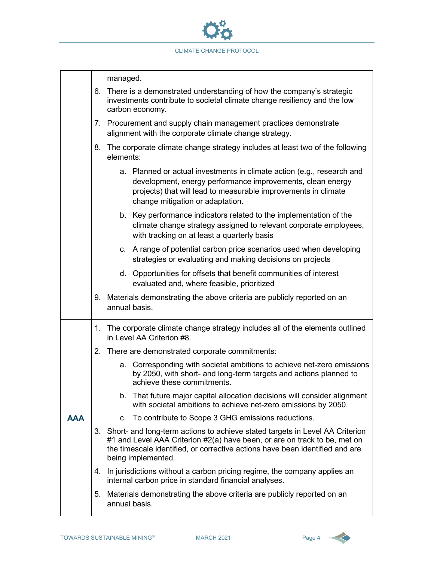

|                                                                                                                                                                        |                                                                                                                                  | managed.                                                                                                                                                                                                                                                           |  |  |
|------------------------------------------------------------------------------------------------------------------------------------------------------------------------|----------------------------------------------------------------------------------------------------------------------------------|--------------------------------------------------------------------------------------------------------------------------------------------------------------------------------------------------------------------------------------------------------------------|--|--|
| 6. There is a demonstrated understanding of how the company's strategic<br>investments contribute to societal climate change resiliency and the low<br>carbon economy. |                                                                                                                                  |                                                                                                                                                                                                                                                                    |  |  |
|                                                                                                                                                                        |                                                                                                                                  | 7. Procurement and supply chain management practices demonstrate<br>alignment with the corporate climate change strategy.                                                                                                                                          |  |  |
|                                                                                                                                                                        | 8. The corporate climate change strategy includes at least two of the following<br>elements:                                     |                                                                                                                                                                                                                                                                    |  |  |
|                                                                                                                                                                        |                                                                                                                                  | a. Planned or actual investments in climate action (e.g., research and<br>development, energy performance improvements, clean energy<br>projects) that will lead to measurable improvements in climate<br>change mitigation or adaptation.                         |  |  |
|                                                                                                                                                                        |                                                                                                                                  | b. Key performance indicators related to the implementation of the<br>climate change strategy assigned to relevant corporate employees,<br>with tracking on at least a quarterly basis                                                                             |  |  |
|                                                                                                                                                                        | c. A range of potential carbon price scenarios used when developing<br>strategies or evaluating and making decisions on projects |                                                                                                                                                                                                                                                                    |  |  |
|                                                                                                                                                                        | d. Opportunities for offsets that benefit communities of interest<br>evaluated and, where feasible, prioritized                  |                                                                                                                                                                                                                                                                    |  |  |
|                                                                                                                                                                        |                                                                                                                                  | 9. Materials demonstrating the above criteria are publicly reported on an<br>annual basis.                                                                                                                                                                         |  |  |
|                                                                                                                                                                        |                                                                                                                                  | 1. The corporate climate change strategy includes all of the elements outlined<br>in Level AA Criterion #8.                                                                                                                                                        |  |  |
|                                                                                                                                                                        |                                                                                                                                  | 2. There are demonstrated corporate commitments:                                                                                                                                                                                                                   |  |  |
|                                                                                                                                                                        |                                                                                                                                  | a. Corresponding with societal ambitions to achieve net-zero emissions<br>by 2050, with short- and long-term targets and actions planned to<br>achieve these commitments.                                                                                          |  |  |
|                                                                                                                                                                        |                                                                                                                                  | b. That future major capital allocation decisions will consider alignment<br>with societal ambitions to achieve net-zero emissions by 2050.                                                                                                                        |  |  |
| <b>AAA</b>                                                                                                                                                             |                                                                                                                                  | c. To contribute to Scope 3 GHG emissions reductions.                                                                                                                                                                                                              |  |  |
|                                                                                                                                                                        |                                                                                                                                  | 3. Short- and long-term actions to achieve stated targets in Level AA Criterion<br>#1 and Level AAA Criterion #2(a) have been, or are on track to be, met on<br>the timescale identified, or corrective actions have been identified and are<br>being implemented. |  |  |
|                                                                                                                                                                        |                                                                                                                                  | 4. In jurisdictions without a carbon pricing regime, the company applies an<br>internal carbon price in standard financial analyses.                                                                                                                               |  |  |
|                                                                                                                                                                        |                                                                                                                                  | 5. Materials demonstrating the above criteria are publicly reported on an<br>annual basis.                                                                                                                                                                         |  |  |

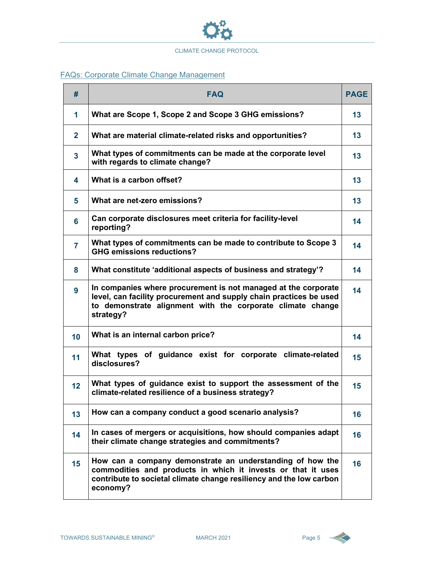

#### FAQs: Corporate Climate Change Management

| #                       | <b>FAQ</b>                                                                                                                                                                                                      | <b>PAGE</b> |  |
|-------------------------|-----------------------------------------------------------------------------------------------------------------------------------------------------------------------------------------------------------------|-------------|--|
| $\mathbf 1$             | What are Scope 1, Scope 2 and Scope 3 GHG emissions?                                                                                                                                                            | 13          |  |
| $\mathbf{2}$            | What are material climate-related risks and opportunities?                                                                                                                                                      |             |  |
| $\overline{\mathbf{3}}$ | What types of commitments can be made at the corporate level<br>with regards to climate change?                                                                                                                 | 13          |  |
| 4                       | What is a carbon offset?                                                                                                                                                                                        | 13          |  |
| 5                       | What are net-zero emissions?                                                                                                                                                                                    | 13          |  |
| 6                       | Can corporate disclosures meet criteria for facility-level<br>reporting?                                                                                                                                        | 14          |  |
| 7                       | What types of commitments can be made to contribute to Scope 3<br><b>GHG emissions reductions?</b>                                                                                                              | 14          |  |
| 8                       | What constitute 'additional aspects of business and strategy'?                                                                                                                                                  | 14          |  |
| 9                       | In companies where procurement is not managed at the corporate<br>level, can facility procurement and supply chain practices be used<br>to demonstrate alignment with the corporate climate change<br>strategy? | 14          |  |
| 10                      | What is an internal carbon price?                                                                                                                                                                               | 14          |  |
| 11                      | What types of guidance exist for corporate climate-related<br>disclosures?                                                                                                                                      | 15          |  |
| 12                      | What types of guidance exist to support the assessment of the<br>climate-related resilience of a business strategy?                                                                                             | 15          |  |
| 13                      | How can a company conduct a good scenario analysis?                                                                                                                                                             | 16          |  |
| 14                      | In cases of mergers or acquisitions, how should companies adapt<br>their climate change strategies and commitments?                                                                                             | 16          |  |
| 15                      | How can a company demonstrate an understanding of how the<br>commodities and products in which it invests or that it uses<br>contribute to societal climate change resiliency and the low carbon<br>economy?    | 16          |  |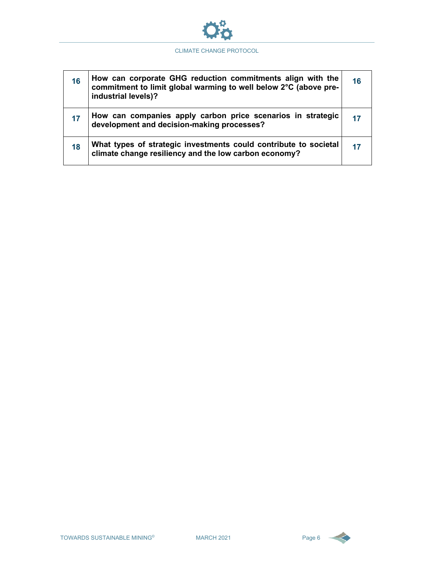

| 16 | How can corporate GHG reduction commitments align with the<br>commitment to limit global warming to well below 2°C (above pre-<br>industrial levels)? | 16 |
|----|-------------------------------------------------------------------------------------------------------------------------------------------------------|----|
| 17 | How can companies apply carbon price scenarios in strategic<br>development and decision-making processes?                                             |    |
| 18 | What types of strategic investments could contribute to societal<br>climate change resiliency and the low carbon economy?                             |    |



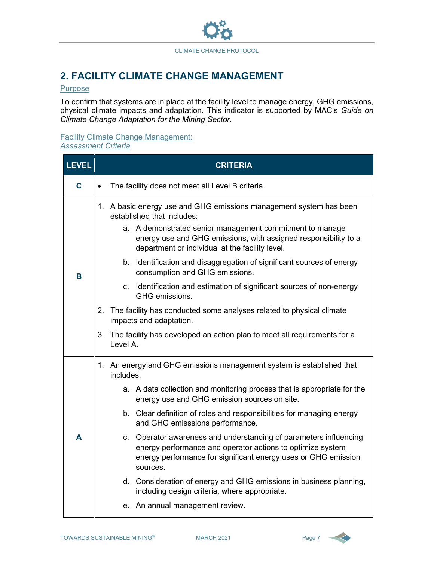

## **2. FACILITY CLIMATE CHANGE MANAGEMENT**

#### **Purpose**

To confirm that systems are in place at the facility level to manage energy, GHG emissions, physical climate impacts and adaptation. This indicator is supported by MAC's *Guide on Climate Change Adaptation for the Mining Sector*.

## Facility Climate Change Management:

*Assessment Criteria*

| <b>LEVEL</b> | <b>CRITERIA</b>                                               |                                                                                                                                                                                                                                                                                    |  |  |  |
|--------------|---------------------------------------------------------------|------------------------------------------------------------------------------------------------------------------------------------------------------------------------------------------------------------------------------------------------------------------------------------|--|--|--|
| $\mathbf c$  | The facility does not meet all Level B criteria.<br>$\bullet$ |                                                                                                                                                                                                                                                                                    |  |  |  |
|              |                                                               | 1. A basic energy use and GHG emissions management system has been<br>established that includes:<br>a. A demonstrated senior management commitment to manage<br>energy use and GHG emissions, with assigned responsibility to a<br>department or individual at the facility level. |  |  |  |
| В            |                                                               | b. Identification and disaggregation of significant sources of energy<br>consumption and GHG emissions.                                                                                                                                                                            |  |  |  |
|              |                                                               | c. Identification and estimation of significant sources of non-energy<br>GHG emissions.                                                                                                                                                                                            |  |  |  |
|              |                                                               | 2. The facility has conducted some analyses related to physical climate<br>impacts and adaptation.                                                                                                                                                                                 |  |  |  |
|              | 3.                                                            | The facility has developed an action plan to meet all requirements for a<br>Level A.                                                                                                                                                                                               |  |  |  |
|              |                                                               | 1. An energy and GHG emissions management system is established that<br>includes:                                                                                                                                                                                                  |  |  |  |
|              |                                                               | a. A data collection and monitoring process that is appropriate for the<br>energy use and GHG emission sources on site.                                                                                                                                                            |  |  |  |
| A            |                                                               | b. Clear definition of roles and responsibilities for managing energy<br>and GHG emisssions performance.                                                                                                                                                                           |  |  |  |
|              |                                                               | c. Operator awareness and understanding of parameters influencing<br>energy performance and operator actions to optimize system<br>energy performance for significant energy uses or GHG emission<br>sources.                                                                      |  |  |  |
|              |                                                               | d. Consideration of energy and GHG emissions in business planning,<br>including design criteria, where appropriate.                                                                                                                                                                |  |  |  |
|              |                                                               | e. An annual management review.                                                                                                                                                                                                                                                    |  |  |  |

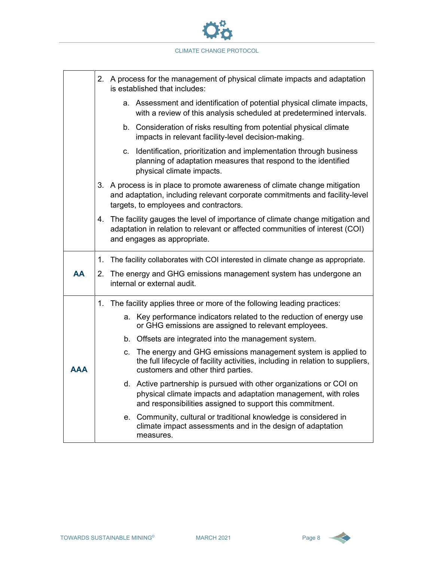

|            |                                                                                                                                                                                                     | 2. A process for the management of physical climate impacts and adaptation<br>is established that includes:                                                                                        |  |  |
|------------|-----------------------------------------------------------------------------------------------------------------------------------------------------------------------------------------------------|----------------------------------------------------------------------------------------------------------------------------------------------------------------------------------------------------|--|--|
|            | a. Assessment and identification of potential physical climate impacts,<br>with a review of this analysis scheduled at predetermined intervals.                                                     |                                                                                                                                                                                                    |  |  |
|            | b. Consideration of risks resulting from potential physical climate<br>impacts in relevant facility-level decision-making.                                                                          |                                                                                                                                                                                                    |  |  |
|            | c. Identification, prioritization and implementation through business<br>planning of adaptation measures that respond to the identified<br>physical climate impacts.                                |                                                                                                                                                                                                    |  |  |
|            | 3. A process is in place to promote awareness of climate change mitigation<br>and adaptation, including relevant corporate commitments and facility-level<br>targets, to employees and contractors. |                                                                                                                                                                                                    |  |  |
|            | 4. The facility gauges the level of importance of climate change mitigation and<br>adaptation in relation to relevant or affected communities of interest (COI)<br>and engages as appropriate.      |                                                                                                                                                                                                    |  |  |
|            |                                                                                                                                                                                                     | 1. The facility collaborates with COI interested in climate change as appropriate.                                                                                                                 |  |  |
| <b>AA</b>  |                                                                                                                                                                                                     | 2. The energy and GHG emissions management system has undergone an<br>internal or external audit.                                                                                                  |  |  |
|            |                                                                                                                                                                                                     | 1. The facility applies three or more of the following leading practices:                                                                                                                          |  |  |
|            |                                                                                                                                                                                                     | a. Key performance indicators related to the reduction of energy use<br>or GHG emissions are assigned to relevant employees.                                                                       |  |  |
|            |                                                                                                                                                                                                     | b. Offsets are integrated into the management system.                                                                                                                                              |  |  |
| <b>AAA</b> |                                                                                                                                                                                                     | c. The energy and GHG emissions management system is applied to<br>the full lifecycle of facility activities, including in relation to suppliers,<br>customers and other third parties.            |  |  |
|            |                                                                                                                                                                                                     | d. Active partnership is pursued with other organizations or COI on<br>physical climate impacts and adaptation management, with roles<br>and responsibilities assigned to support this commitment. |  |  |
|            |                                                                                                                                                                                                     | e. Community, cultural or traditional knowledge is considered in<br>climate impact assessments and in the design of adaptation<br>measures.                                                        |  |  |

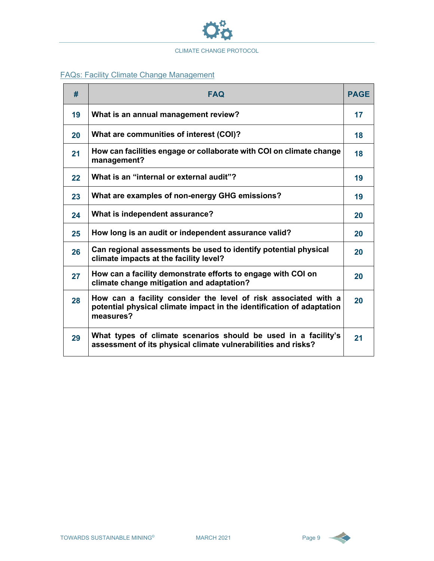

#### FAQs: Facility Climate Change Management

| #       | <b>FAQ</b>                                                                                                                                            |    |  |
|---------|-------------------------------------------------------------------------------------------------------------------------------------------------------|----|--|
| 19      | What is an annual management review?                                                                                                                  | 17 |  |
| 20      | What are communities of interest (COI)?                                                                                                               | 18 |  |
| 21      | How can facilities engage or collaborate with COI on climate change<br>management?                                                                    | 18 |  |
| $22 \,$ | What is an "internal or external audit"?                                                                                                              | 19 |  |
| 23      | What are examples of non-energy GHG emissions?                                                                                                        | 19 |  |
| 24      | What is independent assurance?                                                                                                                        | 20 |  |
| 25      | How long is an audit or independent assurance valid?                                                                                                  | 20 |  |
| 26      | Can regional assessments be used to identify potential physical<br>climate impacts at the facility level?                                             | 20 |  |
| 27      | How can a facility demonstrate efforts to engage with COI on<br>climate change mitigation and adaptation?                                             | 20 |  |
| 28      | How can a facility consider the level of risk associated with a<br>potential physical climate impact in the identification of adaptation<br>measures? | 20 |  |
| 29      | What types of climate scenarios should be used in a facility's<br>assessment of its physical climate vulnerabilities and risks?                       | 21 |  |

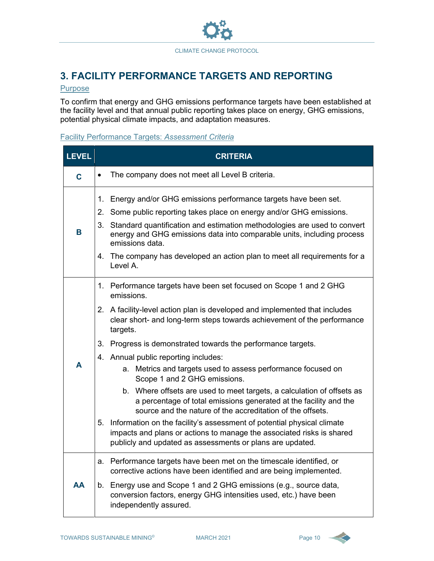

## **3. FACILITY PERFORMANCE TARGETS AND REPORTING**

#### **Purpose**

To confirm that energy and GHG emissions performance targets have been established at the facility level and that annual public reporting takes place on energy, GHG emissions, potential physical climate impacts, and adaptation measures.

#### Facility Performance Targets: *Assessment Criteria*

| <b>LEVEL</b> | <b>CRITERIA</b>   |                                                                                                                                                                                                                 |  |  |
|--------------|-------------------|-----------------------------------------------------------------------------------------------------------------------------------------------------------------------------------------------------------------|--|--|
| C            | $\bullet$         | The company does not meet all Level B criteria.                                                                                                                                                                 |  |  |
|              | 1.<br>$2_{\cdot}$ | Energy and/or GHG emissions performance targets have been set.<br>Some public reporting takes place on energy and/or GHG emissions.                                                                             |  |  |
| В            |                   | 3. Standard quantification and estimation methodologies are used to convert<br>energy and GHG emissions data into comparable units, including process<br>emissions data.                                        |  |  |
|              |                   | 4. The company has developed an action plan to meet all requirements for a<br>Level A.                                                                                                                          |  |  |
|              |                   | 1. Performance targets have been set focused on Scope 1 and 2 GHG<br>emissions.                                                                                                                                 |  |  |
|              |                   | 2. A facility-level action plan is developed and implemented that includes<br>clear short- and long-term steps towards achievement of the performance<br>targets.                                               |  |  |
|              |                   | 3. Progress is demonstrated towards the performance targets.                                                                                                                                                    |  |  |
|              |                   | 4. Annual public reporting includes:                                                                                                                                                                            |  |  |
| A            |                   | a. Metrics and targets used to assess performance focused on<br>Scope 1 and 2 GHG emissions.                                                                                                                    |  |  |
|              |                   | b. Where offsets are used to meet targets, a calculation of offsets as<br>a percentage of total emissions generated at the facility and the<br>source and the nature of the accreditation of the offsets.       |  |  |
|              |                   | 5. Information on the facility's assessment of potential physical climate<br>impacts and plans or actions to manage the associated risks is shared<br>publicly and updated as assessments or plans are updated. |  |  |
|              |                   | a. Performance targets have been met on the timescale identified, or<br>corrective actions have been identified and are being implemented.                                                                      |  |  |
| AA           |                   | b. Energy use and Scope 1 and 2 GHG emissions (e.g., source data,<br>conversion factors, energy GHG intensities used, etc.) have been<br>independently assured.                                                 |  |  |

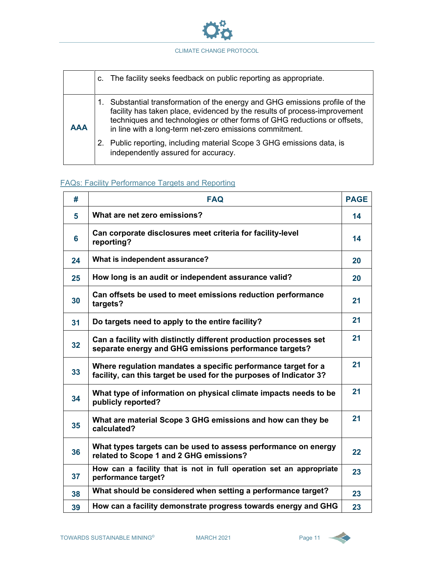

|            | c. The facility seeks feedback on public reporting as appropriate.                                                                                                                                                                                                                            |
|------------|-----------------------------------------------------------------------------------------------------------------------------------------------------------------------------------------------------------------------------------------------------------------------------------------------|
| <b>AAA</b> | Substantial transformation of the energy and GHG emissions profile of the<br>facility has taken place, evidenced by the results of process-improvement<br>techniques and technologies or other forms of GHG reductions or offsets,<br>in line with a long-term net-zero emissions commitment. |
|            | 2. Public reporting, including material Scope 3 GHG emissions data, is<br>independently assured for accuracy.                                                                                                                                                                                 |

#### FAQs: Facility Performance Targets and Reporting

| #  | <b>FAQ</b>                                                                                                                          | <b>PAGE</b> |
|----|-------------------------------------------------------------------------------------------------------------------------------------|-------------|
| 5  | What are net zero emissions?                                                                                                        | 14          |
| 6  | Can corporate disclosures meet criteria for facility-level<br>reporting?                                                            | 14          |
| 24 | What is independent assurance?                                                                                                      | 20          |
| 25 | How long is an audit or independent assurance valid?                                                                                | 20          |
| 30 | Can offsets be used to meet emissions reduction performance<br>targets?                                                             | 21          |
| 31 | Do targets need to apply to the entire facility?                                                                                    | 21          |
| 32 | Can a facility with distinctly different production processes set<br>separate energy and GHG emissions performance targets?         | 21          |
| 33 | Where regulation mandates a specific performance target for a<br>facility, can this target be used for the purposes of Indicator 3? | 21          |
| 34 | What type of information on physical climate impacts needs to be<br>publicly reported?                                              | 21          |
| 35 | What are material Scope 3 GHG emissions and how can they be<br>calculated?                                                          | 21          |
| 36 | What types targets can be used to assess performance on energy<br>related to Scope 1 and 2 GHG emissions?                           | 22          |
| 37 | How can a facility that is not in full operation set an appropriate<br>performance target?                                          | 23          |
| 38 | What should be considered when setting a performance target?                                                                        | 23          |
| 39 | How can a facility demonstrate progress towards energy and GHG                                                                      | 23          |

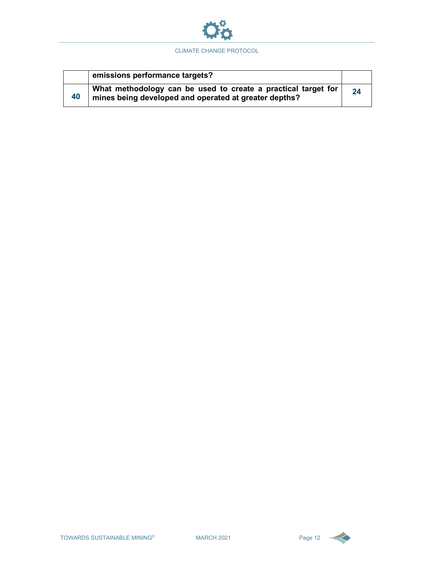

|    | emissions performance targets?                                                                                         |    |
|----|------------------------------------------------------------------------------------------------------------------------|----|
| 40 | What methodology can be used to create a practical target for<br>mines being developed and operated at greater depths? | 24 |



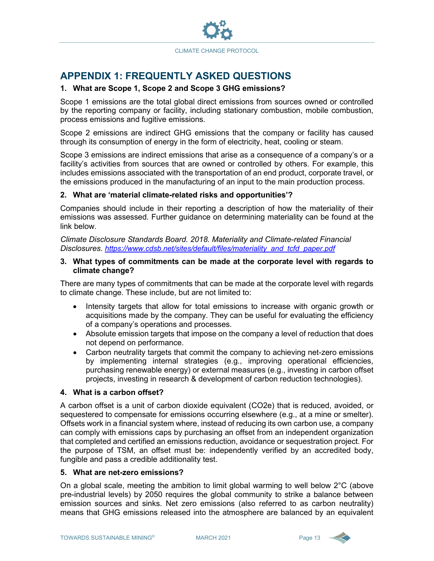

## **APPENDIX 1: FREQUENTLY ASKED QUESTIONS**

#### **1. What are Scope 1, Scope 2 and Scope 3 GHG emissions?**

Scope 1 emissions are the total global direct emissions from sources owned or controlled by the reporting company or facility, including stationary combustion, mobile combustion, process emissions and fugitive emissions.

Scope 2 emissions are indirect GHG emissions that the company or facility has caused through its consumption of energy in the form of electricity, heat, cooling or steam.

Scope 3 emissions are indirect emissions that arise as a consequence of a company's or a facility's activities from sources that are owned or controlled by others. For example, this includes emissions associated with the transportation of an end product, corporate travel, or the emissions produced in the manufacturing of an input to the main production process.

#### **2. What are 'material climate-related risks and opportunities'?**

Companies should include in their reporting a description of how the materiality of their emissions was assessed. Further guidance on determining materiality can be found at the link below.

*Climate Disclosure Standards Board. 2018. Materiality and Climate-related Financial Disclosures. [https://www.cdsb.net/sites/default/files/materiality\\_and\\_tcfd\\_paper.pdf](https://www.cdsb.net/sites/default/files/materiality_and_tcfd_paper.pdf)*

#### **3. What types of commitments can be made at the corporate level with regards to climate change?**

There are many types of commitments that can be made at the corporate level with regards to climate change. These include, but are not limited to:

- Intensity targets that allow for total emissions to increase with organic growth or acquisitions made by the company. They can be useful for evaluating the efficiency of a company's operations and processes.
- Absolute emission targets that impose on the company a level of reduction that does not depend on performance.
- Carbon neutrality targets that commit the company to achieving net-zero emissions by implementing internal strategies (e.g., improving operational efficiencies, purchasing renewable energy) or external measures (e.g., investing in carbon offset projects, investing in research & development of carbon reduction technologies).

#### **4. What is a carbon offset?**

A carbon offset is a unit of carbon dioxide equivalent (CO2e) that is reduced, avoided, or sequestered to compensate for emissions occurring elsewhere (e.g., at a mine or smelter). Offsets work in a financial system where, instead of reducing its own carbon use, a company can comply with emissions caps by purchasing an offset from an independent organization that completed and certified an emissions reduction, avoidance or sequestration project. For the purpose of TSM, an offset must be: independently verified by an accredited body, fungible and pass a credible additionality test.

#### **5. What are net-zero emissions?**

On a global scale, meeting the ambition to limit global warming to well below 2°C (above pre-industrial levels) by 2050 requires the global community to strike a balance between emission sources and sinks. Net zero emissions (also referred to as carbon neutrality) means that GHG emissions released into the atmosphere are balanced by an equivalent

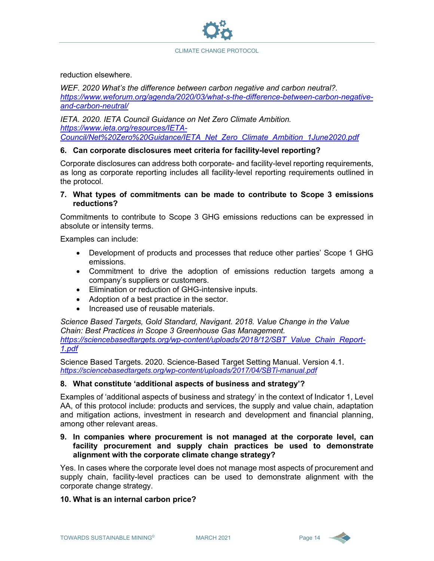

reduction elsewhere.

*WEF. 2020 What's the difference between carbon negative and carbon neutral?. [https://www.weforum.org/agenda/2020/03/what-s-the-difference-between-carbon-negative](https://www.weforum.org/agenda/2020/03/what-s-the-difference-between-carbon-negative-and-carbon-neutral/)[and-carbon-neutral/](https://www.weforum.org/agenda/2020/03/what-s-the-difference-between-carbon-negative-and-carbon-neutral/)*

*IETA. 2020. IETA Council Guidance on Net Zero Climate Ambition. [https://www.ieta.org/resources/IETA-](https://www.ieta.org/resources/IETA-Council/Net%20Zero%20Guidance/IETA_Net_Zero_Climate_Ambition_1June2020.pdf)[Council/Net%20Zero%20Guidance/IETA\\_Net\\_Zero\\_Climate\\_Ambition\\_1June2020.pdf](https://www.ieta.org/resources/IETA-Council/Net%20Zero%20Guidance/IETA_Net_Zero_Climate_Ambition_1June2020.pdf)*

#### **6. Can corporate disclosures meet criteria for facility-level reporting?**

Corporate disclosures can address both corporate- and facility-level reporting requirements, as long as corporate reporting includes all facility-level reporting requirements outlined in the protocol.

**7. What types of commitments can be made to contribute to Scope 3 emissions reductions?**

Commitments to contribute to Scope 3 GHG emissions reductions can be expressed in absolute or intensity terms.

Examples can include:

- Development of products and processes that reduce other parties' Scope 1 GHG emissions.
- Commitment to drive the adoption of emissions reduction targets among a company's suppliers or customers.
- Elimination or reduction of GHG-intensive inputs.
- Adoption of a best practice in the sector.
- Increased use of reusable materials.

*Science Based Targets, Gold Standard, Navigant. 2018. Value Change in the Value Chain: Best Practices in Scope 3 Greenhouse Gas Management. [https://sciencebasedtargets.org/wp-content/uploads/2018/12/SBT\\_Value\\_Chain\\_Report-](https://sciencebasedtargets.org/wp-content/uploads/2018/12/SBT_Value_Chain_Report-1.pdf)[1.pdf](https://sciencebasedtargets.org/wp-content/uploads/2018/12/SBT_Value_Chain_Report-1.pdf)*

Science Based Targets. 2020. Science-Based Target Setting Manual. Version 4.1. *<https://sciencebasedtargets.org/wp-content/uploads/2017/04/SBTi-manual.pdf>*

#### **8. What constitute 'additional aspects of business and strategy'?**

Examples of 'additional aspects of business and strategy' in the context of Indicator 1, Level AA, of this protocol include: products and services, the supply and value chain, adaptation and mitigation actions, investment in research and development and financial planning, among other relevant areas.

#### **9. In companies where procurement is not managed at the corporate level, can facility procurement and supply chain practices be used to demonstrate alignment with the corporate climate change strategy?**

Yes. In cases where the corporate level does not manage most aspects of procurement and supply chain, facility-level practices can be used to demonstrate alignment with the corporate change strategy.

#### **10. What is an internal carbon price?**

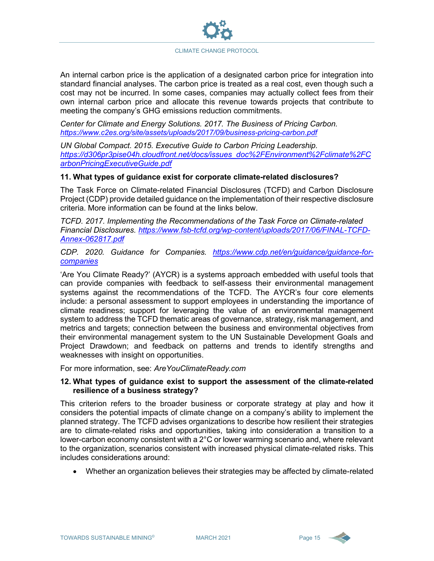An internal carbon price is the application of a designated carbon price for integration into standard financial analyses. The carbon price is treated as a real cost, even though such a cost may not be incurred. In some cases, companies may actually collect fees from their own internal carbon price and allocate this revenue towards projects that contribute to meeting the company's GHG emissions reduction commitments.

*Center for Climate and Energy Solutions. 2017. The Business of Pricing Carbon. <https://www.c2es.org/site/assets/uploads/2017/09/business-pricing-carbon.pdf>*

*UN Global Compact. 2015. Executive Guide to Carbon Pricing Leadership. [https://d306pr3pise04h.cloudfront.net/docs/issues\\_doc%2FEnvironment%2Fclimate%2FC](https://d306pr3pise04h.cloudfront.net/docs/issues_doc%2FEnvironment%2Fclimate%2FCarbonPricingExecutiveGuide.pdf) [arbonPricingExecutiveGuide.pdf](https://d306pr3pise04h.cloudfront.net/docs/issues_doc%2FEnvironment%2Fclimate%2FCarbonPricingExecutiveGuide.pdf)*

#### **11. What types of guidance exist for corporate climate-related disclosures?**

The Task Force on Climate-related Financial Disclosures (TCFD) and Carbon Disclosure Project (CDP) provide detailed guidance on the implementation of their respective disclosure criteria. More information can be found at the links below.

*TCFD. 2017. Implementing the Recommendations of the Task Force on Climate-related Financial Disclosures. [https://www.fsb-tcfd.org/wp-content/uploads/2017/06/FINAL-TCFD-](https://www.fsb-tcfd.org/wp-content/uploads/2017/06/FINAL-TCFD-Annex-062817.pdf)[Annex-062817.pdf](https://www.fsb-tcfd.org/wp-content/uploads/2017/06/FINAL-TCFD-Annex-062817.pdf)*

*CDP. 2020. Guidance for Companies. [https://www.cdp.net/en/guidance/guidance-for](https://www.cdp.net/en/guidance/guidance-for-companies)[companies](https://www.cdp.net/en/guidance/guidance-for-companies)*

'Are You Climate Ready?' (AYCR) is a systems approach embedded with useful tools that can provide companies with feedback to self-assess their environmental management systems against the recommendations of the TCFD. The AYCR's four core elements include: a personal assessment to support employees in understanding the importance of climate readiness; support for leveraging the value of an environmental management system to address the TCFD thematic areas of governance, strategy, risk management, and metrics and targets; connection between the business and environmental objectives from their environmental management system to the UN Sustainable Development Goals and Project Drawdown; and feedback on patterns and trends to identify strengths and weaknesses with insight on opportunities.

For more information, see: *AreYouClimateReady.com*

#### **12. What types of guidance exist to support the assessment of the climate-related resilience of a business strategy?**

This criterion refers to the broader business or corporate strategy at play and how it considers the potential impacts of climate change on a company's ability to implement the planned strategy. The TCFD advises organizations to describe how resilient their strategies are to climate-related risks and opportunities, taking into consideration a transition to a lower-carbon economy consistent with a 2°C or lower warming scenario and, where relevant to the organization, scenarios consistent with increased physical climate-related risks. This includes considerations around:

• Whether an organization believes their strategies may be affected by climate-related

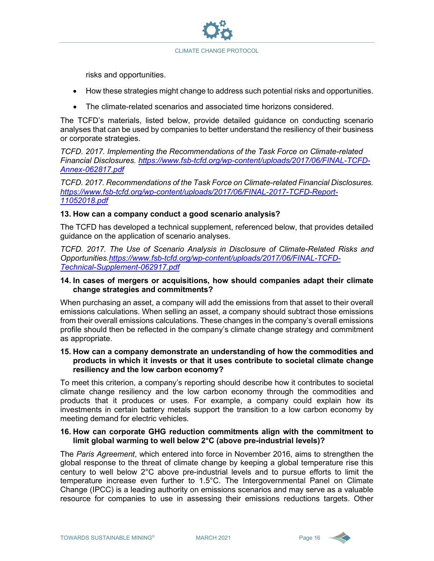

risks and opportunities.

- How these strategies might change to address such potential risks and opportunities.
- The climate-related scenarios and associated time horizons considered.

The TCFD's materials, listed below, provide detailed guidance on conducting scenario analyses that can be used by companies to better understand the resiliency of their business or corporate strategies.

*TCFD. 2017. Implementing the Recommendations of the Task Force on Climate-related Financial Disclosures. [https://www.fsb-tcfd.org/wp-content/uploads/2017/06/FINAL-TCFD-](https://www.fsb-tcfd.org/wp-content/uploads/2017/06/FINAL-TCFD-Annex-062817.pdf)[Annex-062817.pdf](https://www.fsb-tcfd.org/wp-content/uploads/2017/06/FINAL-TCFD-Annex-062817.pdf)*

*TCFD. 2017. Recommendations of the Task Force on Climate-related Financial Disclosures. [https://www.fsb-tcfd.org/wp-content/uploads/2017/06/FINAL-2017-TCFD-Report-](https://www.fsb-tcfd.org/wp-content/uploads/2017/06/FINAL-2017-TCFD-Report-11052018.pdf)[11052018.pdf](https://www.fsb-tcfd.org/wp-content/uploads/2017/06/FINAL-2017-TCFD-Report-11052018.pdf)*

#### **13. How can a company conduct a good scenario analysis?**

The TCFD has developed a technical supplement, referenced below, that provides detailed guidance on the application of scenario analyses.

*TCFD. 2017. The Use of Scenario Analysis in Disclosure of Climate-Related Risks and Opportunities.https://www.fsb-tcfd.org/wp-content/uploads/2017/06/FINAL-TCFD-Technical-Supplement-062917.pdf*

#### **14. In cases of mergers or acquisitions, how should companies adapt their climate change strategies and commitments?**

When purchasing an asset, a company will add the emissions from that asset to their overall emissions calculations. When selling an asset, a company should subtract those emissions from their overall emissions calculations. These changes in the company's overall emissions profile should then be reflected in the company's climate change strategy and commitment as appropriate.

#### **15. How can a company demonstrate an understanding of how the commodities and products in which it invests or that it uses contribute to societal climate change resiliency and the low carbon economy?**

To meet this criterion, a company's reporting should describe how it contributes to societal climate change resiliency and the low carbon economy through the commodities and products that it produces or uses. For example, a company could explain how its investments in certain battery metals support the transition to a low carbon economy by meeting demand for electric vehicles.

#### **16. How can corporate GHG reduction commitments align with the commitment to limit global warming to well below 2°C (above pre-industrial levels)?**

The *Paris Agreement*, which entered into force in November 2016, aims to strengthen the global response to the threat of climate change by keeping a global temperature rise this century to well below 2°C above pre-industrial levels and to pursue efforts to limit the temperature increase even further to 1.5°C. The Intergovernmental Panel on Climate Change (IPCC) is a leading authority on emissions scenarios and may serve as a valuable resource for companies to use in assessing their emissions reductions targets. Other

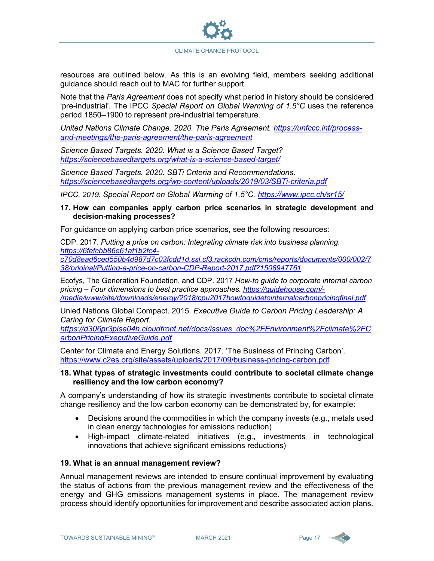

resources are outlined below. As this is an evolving field, members seeking additional guidance should reach out to MAC for further support.

Note that the *Paris Agreement* does not specify what period in history should be considered 'pre-industrial'. The IPCC *Special Report on Global Warming of 1.5°C* uses the reference period 1850–1900 to represent pre-industrial temperature.

*United Nations Climate Change. 2020. The Paris Agreement. [https://unfccc.int/process](https://unfccc.int/process-and-meetings/the-paris-agreement/the-paris-agreement)[and-meetings/the-paris-agreement/the-paris-agreement](https://unfccc.int/process-and-meetings/the-paris-agreement/the-paris-agreement)*

*Science Based Targets. 2020. What is a Science Based Target? <https://sciencebasedtargets.org/what-is-a-science-based-target/>*

*Science Based Targets. 2020. SBTi Criteria and Recommendations. <https://sciencebasedtargets.org/wp-content/uploads/2019/03/SBTi-criteria.pdf>*

*IPCC. 2019. Special Report on Global Warming of 1.5°C.<https://www.ipcc.ch/sr15/>*

#### **17. How can companies apply carbon price scenarios in strategic development and decision-making processes?**

For guidance on applying carbon price scenarios, see the following resources:

CDP. 2017. *Putting a price on carbon: Integrating climate risk into business planning. [https://6fefcbb86e61af1b2fc4](https://6fefcbb86e61af1b2fc4-c70d8ead6ced550b4d987d7c03fcdd1d.ssl.cf3.rackcdn.com/cms/reports/documents/000/002/738/original/Putting-a-price-on-carbon-CDP-Report-2017.pdf?1508947761) [c70d8ead6ced550b4d987d7c03fcdd1d.ssl.cf3.rackcdn.com/cms/reports/documents/000/002/7](https://6fefcbb86e61af1b2fc4-c70d8ead6ced550b4d987d7c03fcdd1d.ssl.cf3.rackcdn.com/cms/reports/documents/000/002/738/original/Putting-a-price-on-carbon-CDP-Report-2017.pdf?1508947761) [38/original/Putting-a-price-on-carbon-CDP-Report-2017.pdf?1508947761](https://6fefcbb86e61af1b2fc4-c70d8ead6ced550b4d987d7c03fcdd1d.ssl.cf3.rackcdn.com/cms/reports/documents/000/002/738/original/Putting-a-price-on-carbon-CDP-Report-2017.pdf?1508947761)*

Ecofys, The Generation Foundation, and CDP. 2017 *How-to guide to corporate internal carbon pricing – Four dimensions to best practice approaches. [https://guidehouse.com/-](https://guidehouse.com/-/media/www/site/downloads/energy/2018/cpu2017howtoguidetointernalcarbonpricingfinal.pdf) [/media/www/site/downloads/energy/2018/cpu2017howtoguidetointernalcarbonpricingfinal.pdf](https://guidehouse.com/-/media/www/site/downloads/energy/2018/cpu2017howtoguidetointernalcarbonpricingfinal.pdf)*

Unied Nations Global Compact. 2015. *Executive Guide to Carbon Pricing Leadership: A Caring for Climate Report.* 

*[https://d306pr3pise04h.cloudfront.net/docs/issues\\_doc%2FEnvironment%2Fclimate%2FC](https://d306pr3pise04h.cloudfront.net/docs/issues_doc%2FEnvironment%2Fclimate%2FCarbonPricingExecutiveGuide.pdf) [arbonPricingExecutiveGuide.pdf](https://d306pr3pise04h.cloudfront.net/docs/issues_doc%2FEnvironment%2Fclimate%2FCarbonPricingExecutiveGuide.pdf)*

Center for Climate and Energy Solutions. 2017. 'The Business of Princing Carbon'. <https://www.c2es.org/site/assets/uploads/2017/09/business-pricing-carbon.pdf>

#### **18. What types of strategic investments could contribute to societal climate change resiliency and the low carbon economy?**

A company's understanding of how its strategic investments contribute to societal climate change resiliency and the low carbon economy can be demonstrated by, for example:

- Decisions around the commodities in which the company invests (e.g., metals used in clean energy technologies for emissions reduction)
- High-impact climate-related initiatives (e.g., investments in technological innovations that achieve significant emissions reductions)

#### **19. What is an annual management review?**

Annual management reviews are intended to ensure continual improvement by evaluating the status of actions from the previous management review and the effectiveness of the energy and GHG emissions management systems in place. The management review process should identify opportunities for improvement and describe associated action plans.

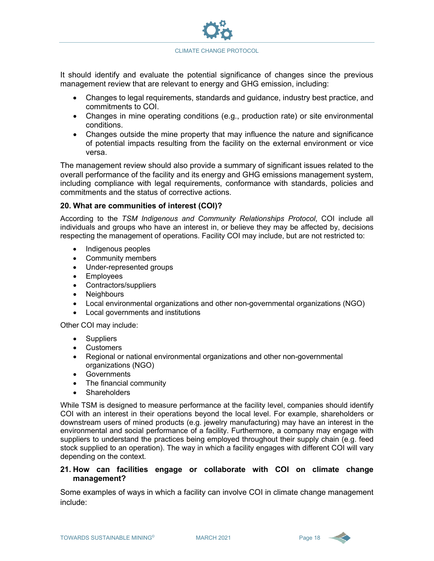

It should identify and evaluate the potential significance of changes since the previous management review that are relevant to energy and GHG emission, including:

- Changes to legal requirements, standards and guidance, industry best practice, and commitments to COI.
- Changes in mine operating conditions (e.g., production rate) or site environmental conditions.
- Changes outside the mine property that may influence the nature and significance of potential impacts resulting from the facility on the external environment or vice versa.

The management review should also provide a summary of significant issues related to the overall performance of the facility and its energy and GHG emissions management system, including compliance with legal requirements, conformance with standards, policies and commitments and the status of corrective actions.

#### **20. What are communities of interest (COI)?**

According to the *TSM Indigenous and Community Relationships Protocol*, COI include all individuals and groups who have an interest in, or believe they may be affected by, decisions respecting the management of operations. Facility COI may include, but are not restricted to:

- Indigenous peoples
- Community members
- Under-represented groups
- Employees
- Contractors/suppliers
- Neighbours
- Local environmental organizations and other non-governmental organizations (NGO)
- Local governments and institutions

Other COI may include:

- **Suppliers**
- Customers
- Regional or national environmental organizations and other non-governmental organizations (NGO)
- Governments
- The financial community
- **Shareholders**

While TSM is designed to measure performance at the facility level, companies should identify COI with an interest in their operations beyond the local level. For example, shareholders or downstream users of mined products (e.g. jewelry manufacturing) may have an interest in the environmental and social performance of a facility. Furthermore, a company may engage with suppliers to understand the practices being employed throughout their supply chain (e.g. feed stock supplied to an operation). The way in which a facility engages with different COI will vary depending on the context.

#### **21. How can facilities engage or collaborate with COI on climate change management?**

Some examples of ways in which a facility can involve COI in climate change management include:

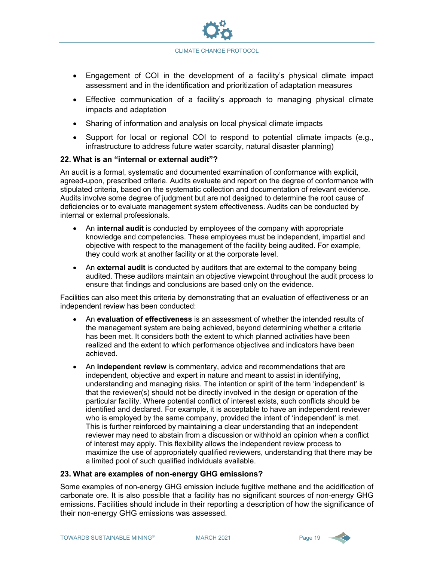

- Engagement of COI in the development of a facility's physical climate impact assessment and in the identification and prioritization of adaptation measures
- Effective communication of a facility's approach to managing physical climate impacts and adaptation
- Sharing of information and analysis on local physical climate impacts
- Support for local or regional COI to respond to potential climate impacts (e.g., infrastructure to address future water scarcity, natural disaster planning)

#### **22. What is an "internal or external audit"?**

An audit is a formal, systematic and documented examination of conformance with explicit, agreed-upon, prescribed criteria. Audits evaluate and report on the degree of conformance with stipulated criteria, based on the systematic collection and documentation of relevant evidence. Audits involve some degree of judgment but are not designed to determine the root cause of deficiencies or to evaluate management system effectiveness. Audits can be conducted by internal or external professionals.

- An **internal audit** is conducted by employees of the company with appropriate knowledge and competencies. These employees must be independent, impartial and objective with respect to the management of the facility being audited. For example, they could work at another facility or at the corporate level.
- An **external audit** is conducted by auditors that are external to the company being audited. These auditors maintain an objective viewpoint throughout the audit process to ensure that findings and conclusions are based only on the evidence.

Facilities can also meet this criteria by demonstrating that an evaluation of effectiveness or an independent review has been conducted:

- An **evaluation of effectiveness** is an assessment of whether the intended results of the management system are being achieved, beyond determining whether a criteria has been met. It considers both the extent to which planned activities have been realized and the extent to which performance objectives and indicators have been achieved.
- An **independent review** is commentary, advice and recommendations that are independent, objective and expert in nature and meant to assist in identifying, understanding and managing risks. The intention or spirit of the term 'independent' is that the reviewer(s) should not be directly involved in the design or operation of the particular facility. Where potential conflict of interest exists, such conflicts should be identified and declared. For example, it is acceptable to have an independent reviewer who is employed by the same company, provided the intent of 'independent' is met. This is further reinforced by maintaining a clear understanding that an independent reviewer may need to abstain from a discussion or withhold an opinion when a conflict of interest may apply. This flexibility allows the independent review process to maximize the use of appropriately qualified reviewers, understanding that there may be a limited pool of such qualified individuals available.

#### **23. What are examples of non-energy GHG emissions?**

Some examples of non-energy GHG emission include fugitive methane and the acidification of carbonate ore. It is also possible that a facility has no significant sources of non-energy GHG emissions. Facilities should include in their reporting a description of how the significance of their non-energy GHG emissions was assessed.

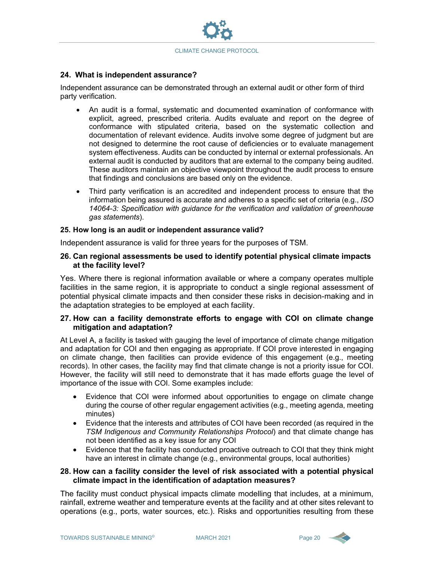

#### **24. What is independent assurance?**

Independent assurance can be demonstrated through an external audit or other form of third party verification.

- An audit is a formal, systematic and documented examination of conformance with explicit, agreed, prescribed criteria. Audits evaluate and report on the degree of conformance with stipulated criteria, based on the systematic collection and documentation of relevant evidence. Audits involve some degree of judgment but are not designed to determine the root cause of deficiencies or to evaluate management system effectiveness. Audits can be conducted by internal or external professionals. An external audit is conducted by auditors that are external to the company being audited. These auditors maintain an objective viewpoint throughout the audit process to ensure that findings and conclusions are based only on the evidence.
- Third party verification is an accredited and independent process to ensure that the information being assured is accurate and adheres to a specific set of criteria (e.g., *ISO 14064-3: Specification with guidance for the verification and validation of greenhouse gas statements*).

#### **25. How long is an audit or independent assurance valid?**

Independent assurance is valid for three years for the purposes of TSM.

#### **26. Can regional assessments be used to identify potential physical climate impacts at the facility level?**

Yes. Where there is regional information available or where a company operates multiple facilities in the same region, it is appropriate to conduct a single regional assessment of potential physical climate impacts and then consider these risks in decision-making and in the adaptation strategies to be employed at each facility.

#### **27. How can a facility demonstrate efforts to engage with COI on climate change mitigation and adaptation?**

At Level A, a facility is tasked with gauging the level of importance of climate change mitigation and adaptation for COI and then engaging as appropriate. If COI prove interested in engaging on climate change, then facilities can provide evidence of this engagement (e.g., meeting records). In other cases, the facility may find that climate change is not a priority issue for COI. However, the facility will still need to demonstrate that it has made efforts guage the level of importance of the issue with COI. Some examples include:

- Evidence that COI were informed about opportunities to engage on climate change during the course of other regular engagement activities (e.g., meeting agenda, meeting minutes)
- Evidence that the interests and attributes of COI have been recorded (as required in the *TSM Indigenous and Community Relationships Protocol*) and that climate change has not been identified as a key issue for any COI
- Evidence that the facility has conducted proactive outreach to COI that they think might have an interest in climate change (e.g., environmental groups, local authorities)

#### **28. How can a facility consider the level of risk associated with a potential physical climate impact in the identification of adaptation measures?**

The facility must conduct physical impacts climate modelling that includes, at a minimum, rainfall, extreme weather and temperature events at the facility and at other sites relevant to operations (e.g., ports, water sources, etc.). Risks and opportunities resulting from these

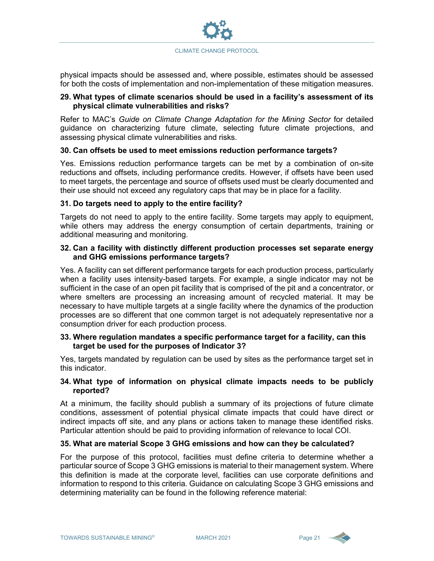

physical impacts should be assessed and, where possible, estimates should be assessed for both the costs of implementation and non-implementation of these mitigation measures.

#### **29. What types of climate scenarios should be used in a facility's assessment of its physical climate vulnerabilities and risks?**

Refer to MAC's *Guide on Climate Change Adaptation for the Mining Sector* for detailed guidance on characterizing future climate, selecting future climate projections, and assessing physical climate vulnerabilities and risks.

#### **30. Can offsets be used to meet emissions reduction performance targets?**

Yes. Emissions reduction performance targets can be met by a combination of on-site reductions and offsets, including performance credits. However, if offsets have been used to meet targets, the percentage and source of offsets used must be clearly documented and their use should not exceed any regulatory caps that may be in place for a facility.

#### **31. Do targets need to apply to the entire facility?**

Targets do not need to apply to the entire facility. Some targets may apply to equipment, while others may address the energy consumption of certain departments, training or additional measuring and monitoring.

#### **32. Can a facility with distinctly different production processes set separate energy and GHG emissions performance targets?**

Yes. A facility can set different performance targets for each production process, particularly when a facility uses intensity-based targets. For example, a single indicator may not be sufficient in the case of an open pit facility that is comprised of the pit and a concentrator, or where smelters are processing an increasing amount of recycled material. It may be necessary to have multiple targets at a single facility where the dynamics of the production processes are so different that one common target is not adequately representative nor a consumption driver for each production process.

#### **33. Where regulation mandates a specific performance target for a facility, can this target be used for the purposes of Indicator 3?**

Yes, targets mandated by regulation can be used by sites as the performance target set in this indicator.

#### **34. What type of information on physical climate impacts needs to be publicly reported?**

At a minimum, the facility should publish a summary of its projections of future climate conditions, assessment of potential physical climate impacts that could have direct or indirect impacts off site, and any plans or actions taken to manage these identified risks. Particular attention should be paid to providing information of relevance to local COI.

#### **35. What are material Scope 3 GHG emissions and how can they be calculated?**

For the purpose of this protocol, facilities must define criteria to determine whether a particular source of Scope 3 GHG emissions is material to their management system. Where this definition is made at the corporate level, facilities can use corporate definitions and information to respond to this criteria. Guidance on calculating Scope 3 GHG emissions and determining materiality can be found in the following reference material:

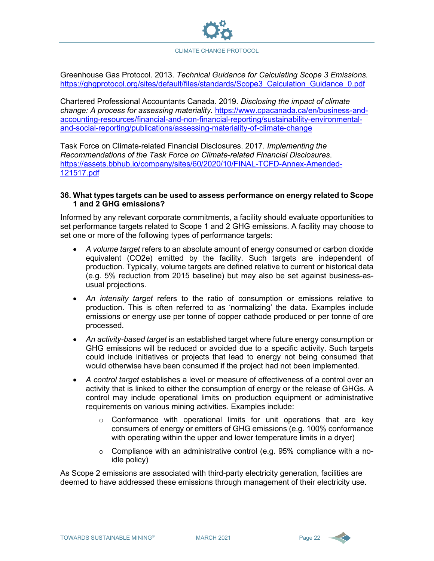Greenhouse Gas Protocol. 2013. *Technical Guidance for Calculating Scope 3 Emissions.*  [https://ghgprotocol.org/sites/default/files/standards/Scope3\\_Calculation\\_Guidance\\_0.pdf](https://ghgprotocol.org/sites/default/files/standards/Scope3_Calculation_Guidance_0.pdf)

Chartered Professional Accountants Canada. 2019. *Disclosing the impact of climate change: A process for assessing materiality.* [https://www.cpacanada.ca/en/business-and](https://www.cpacanada.ca/en/business-and-accounting-resources/financial-and-non-financial-reporting/sustainability-environmental-and-social-reporting/publications/assessing-materiality-of-climate-change)[accounting-resources/financial-and-non-financial-reporting/sustainability-environmental](https://www.cpacanada.ca/en/business-and-accounting-resources/financial-and-non-financial-reporting/sustainability-environmental-and-social-reporting/publications/assessing-materiality-of-climate-change)[and-social-reporting/publications/assessing-materiality-of-climate-change](https://www.cpacanada.ca/en/business-and-accounting-resources/financial-and-non-financial-reporting/sustainability-environmental-and-social-reporting/publications/assessing-materiality-of-climate-change)

Task Force on Climate-related Financial Disclosures. 2017. *Implementing the Recommendations of the Task Force on Climate-related Financial Disclosures*. [https://assets.bbhub.io/company/sites/60/2020/10/FINAL-TCFD-Annex-Amended-](https://assets.bbhub.io/company/sites/60/2020/10/FINAL-TCFD-Annex-Amended-121517.pdf)[121517.pdf](https://assets.bbhub.io/company/sites/60/2020/10/FINAL-TCFD-Annex-Amended-121517.pdf)

#### **36. What types targets can be used to assess performance on energy related to Scope 1 and 2 GHG emissions?**

Informed by any relevant corporate commitments, a facility should evaluate opportunities to set performance targets related to Scope 1 and 2 GHG emissions. A facility may choose to set one or more of the following types of performance targets:

- *A volume target* refers to an absolute amount of energy consumed or carbon dioxide equivalent (CO2e) emitted by the facility. Such targets are independent of production. Typically, volume targets are defined relative to current or historical data (e.g. 5% reduction from 2015 baseline) but may also be set against business-asusual projections.
- *An intensity target* refers to the ratio of consumption or emissions relative to production. This is often referred to as 'normalizing' the data. Examples include emissions or energy use per tonne of copper cathode produced or per tonne of ore processed.
- *An activity-based target* is an established target where future energy consumption or GHG emissions will be reduced or avoided due to a specific activity. Such targets could include initiatives or projects that lead to energy not being consumed that would otherwise have been consumed if the project had not been implemented.
- *A control target* establishes a level or measure of effectiveness of a control over an activity that is linked to either the consumption of energy or the release of GHGs. A control may include operational limits on production equipment or administrative requirements on various mining activities. Examples include:
	- $\circ$  Conformance with operational limits for unit operations that are key consumers of energy or emitters of GHG emissions (e.g. 100% conformance with operating within the upper and lower temperature limits in a dryer)
	- $\circ$  Compliance with an administrative control (e.g. 95% compliance with a noidle policy)

As Scope 2 emissions are associated with third-party electricity generation, facilities are deemed to have addressed these emissions through management of their electricity use.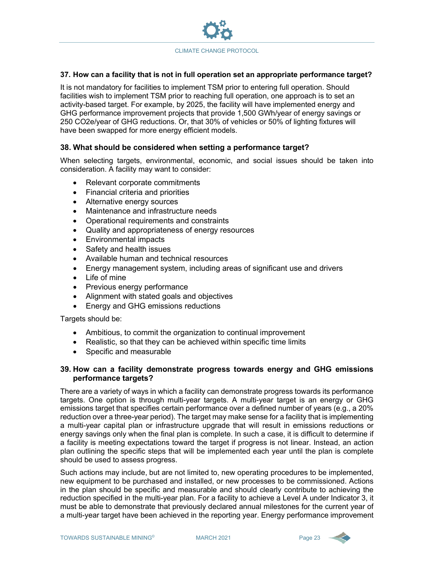

#### **37. How can a facility that is not in full operation set an appropriate performance target?**

It is not mandatory for facilities to implement TSM prior to entering full operation. Should facilities wish to implement TSM prior to reaching full operation, one approach is to set an activity-based target. For example, by 2025, the facility will have implemented energy and GHG performance improvement projects that provide 1,500 GWh/year of energy savings or 250 CO2e/year of GHG reductions. Or, that 30% of vehicles or 50% of lighting fixtures will have been swapped for more energy efficient models.

#### **38. What should be considered when setting a performance target?**

When selecting targets, environmental, economic, and social issues should be taken into consideration. A facility may want to consider:

- Relevant corporate commitments
- Financial criteria and priorities
- Alternative energy sources
- Maintenance and infrastructure needs
- Operational requirements and constraints
- Quality and appropriateness of energy resources
- Environmental impacts
- Safety and health issues
- Available human and technical resources
- Energy management system, including areas of significant use and drivers
- Life of mine
- Previous energy performance
- Alignment with stated goals and objectives
- Energy and GHG emissions reductions

Targets should be:

- Ambitious, to commit the organization to continual improvement
- Realistic, so that they can be achieved within specific time limits
- Specific and measurable

#### **39. How can a facility demonstrate progress towards energy and GHG emissions performance targets?**

There are a variety of ways in which a facility can demonstrate progress towards its performance targets. One option is through multi-year targets. A multi-year target is an energy or GHG emissions target that specifies certain performance over a defined number of years (e.g., a 20% reduction over a three-year period). The target may make sense for a facility that is implementing a multi-year capital plan or infrastructure upgrade that will result in emissions reductions or energy savings only when the final plan is complete. In such a case, it is difficult to determine if a facility is meeting expectations toward the target if progress is not linear. Instead, an action plan outlining the specific steps that will be implemented each year until the plan is complete should be used to assess progress.

Such actions may include, but are not limited to, new operating procedures to be implemented, new equipment to be purchased and installed, or new processes to be commissioned. Actions in the plan should be specific and measurable and should clearly contribute to achieving the reduction specified in the multi-year plan. For a facility to achieve a Level A under Indicator 3, it must be able to demonstrate that previously declared annual milestones for the current year of a multi-year target have been achieved in the reporting year. Energy performance improvement

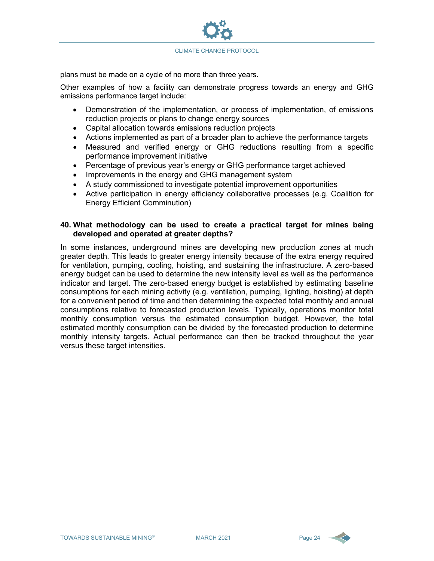

plans must be made on a cycle of no more than three years.

Other examples of how a facility can demonstrate progress towards an energy and GHG emissions performance target include:

- Demonstration of the implementation, or process of implementation, of emissions reduction projects or plans to change energy sources
- Capital allocation towards emissions reduction projects
- Actions implemented as part of a broader plan to achieve the performance targets
- Measured and verified energy or GHG reductions resulting from a specific performance improvement initiative
- Percentage of previous year's energy or GHG performance target achieved
- Improvements in the energy and GHG management system
- A study commissioned to investigate potential improvement opportunities
- Active participation in energy efficiency collaborative processes (e.g. Coalition for Energy Efficient Comminution)

#### **40. What methodology can be used to create a practical target for mines being developed and operated at greater depths?**

In some instances, underground mines are developing new production zones at much greater depth. This leads to greater energy intensity because of the extra energy required for ventilation, pumping, cooling, hoisting, and sustaining the infrastructure. A zero-based energy budget can be used to determine the new intensity level as well as the performance indicator and target. The zero-based energy budget is established by estimating baseline consumptions for each mining activity (e.g. ventilation, pumping, lighting, hoisting) at depth for a convenient period of time and then determining the expected total monthly and annual consumptions relative to forecasted production levels. Typically, operations monitor total monthly consumption versus the estimated consumption budget. However, the total estimated monthly consumption can be divided by the forecasted production to determine monthly intensity targets. Actual performance can then be tracked throughout the year versus these target intensities.

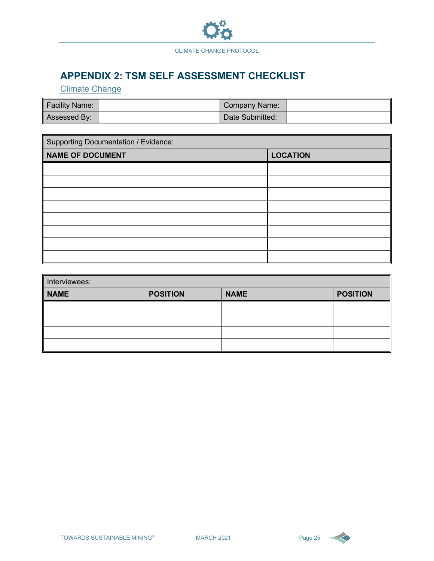

## **APPENDIX 2: TSM SELF ASSESSMENT CHECKLIST**

Climate Change

| <b>Facility Name:</b> | ∖Company Name: \ |  |
|-----------------------|------------------|--|
| Assessed By:          | Date Submitted:  |  |

| Supporting Documentation / Evidence:       |  |  |  |  |  |  |
|--------------------------------------------|--|--|--|--|--|--|
| <b>LOCATION</b><br><b>NAME OF DOCUMENT</b> |  |  |  |  |  |  |
|                                            |  |  |  |  |  |  |
|                                            |  |  |  |  |  |  |
|                                            |  |  |  |  |  |  |
|                                            |  |  |  |  |  |  |
|                                            |  |  |  |  |  |  |
|                                            |  |  |  |  |  |  |
|                                            |  |  |  |  |  |  |
|                                            |  |  |  |  |  |  |

| Interviewees: |                 |             |                 |  |  |  |  |
|---------------|-----------------|-------------|-----------------|--|--|--|--|
| <b>NAME</b>   | <b>POSITION</b> | <b>NAME</b> | <b>POSITION</b> |  |  |  |  |
|               |                 |             |                 |  |  |  |  |
|               |                 |             |                 |  |  |  |  |
|               |                 |             |                 |  |  |  |  |
|               |                 |             |                 |  |  |  |  |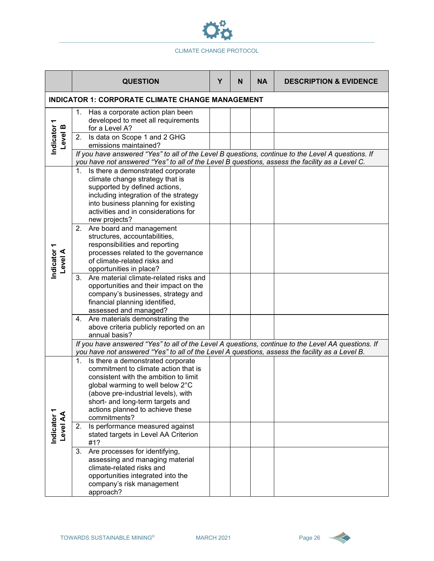

|                                                         | <b>QUESTION</b>                                                                                                                                                                                                                                                                                                                                                   | Υ | N | <b>NA</b> | <b>DESCRIPTION &amp; EVIDENCE</b> |  |  |
|---------------------------------------------------------|-------------------------------------------------------------------------------------------------------------------------------------------------------------------------------------------------------------------------------------------------------------------------------------------------------------------------------------------------------------------|---|---|-----------|-----------------------------------|--|--|
| <b>INDICATOR 1: CORPORATE CLIMATE CHANGE MANAGEMENT</b> |                                                                                                                                                                                                                                                                                                                                                                   |   |   |           |                                   |  |  |
| Indicator 1<br>Level B                                  | 1. Has a corporate action plan been<br>developed to meet all requirements<br>for a Level A?<br>Is data on Scope 1 and 2 GHG<br>2.<br>emissions maintained?<br>If you have answered "Yes" to all of the Level B questions, continue to the Level A questions. If<br>you have not answered "Yes" to all of the Level B questions, assess the facility as a Level C. |   |   |           |                                   |  |  |
|                                                         | 1. Is there a demonstrated corporate<br>climate change strategy that is<br>supported by defined actions,<br>including integration of the strategy<br>into business planning for existing<br>activities and in considerations for<br>new projects?                                                                                                                 |   |   |           |                                   |  |  |
| Indicator<br>Level A                                    | 2. Are board and management<br>structures, accountabilities,<br>responsibilities and reporting<br>processes related to the governance<br>of climate-related risks and<br>opportunities in place?                                                                                                                                                                  |   |   |           |                                   |  |  |
|                                                         | Are material climate-related risks and<br>3.<br>opportunities and their impact on the<br>company's businesses, strategy and<br>financial planning identified,<br>assessed and managed?                                                                                                                                                                            |   |   |           |                                   |  |  |
|                                                         | 4. Are materials demonstrating the<br>above criteria publicly reported on an<br>annual basis?                                                                                                                                                                                                                                                                     |   |   |           |                                   |  |  |
|                                                         | If you have answered "Yes" to all of the Level A questions, continue to the Level AA questions. If<br>you have not answered "Yes" to all of the Level A questions, assess the facility as a Level B.                                                                                                                                                              |   |   |           |                                   |  |  |
|                                                         | Is there a demonstrated corporate<br>1.<br>commitment to climate action that is<br>consistent with the ambition to limit<br>global warming to well below 2°C<br>(above pre-industrial levels), with<br>short- and long-term targets and<br>actions planned to achieve these<br>commitments?                                                                       |   |   |           |                                   |  |  |
| Indicator<br>Level AA                                   | Is performance measured against<br>2.<br>stated targets in Level AA Criterion<br>#1?                                                                                                                                                                                                                                                                              |   |   |           |                                   |  |  |
|                                                         | Are processes for identifying,<br>3.<br>assessing and managing material<br>climate-related risks and<br>opportunities integrated into the<br>company's risk management<br>approach?                                                                                                                                                                               |   |   |           |                                   |  |  |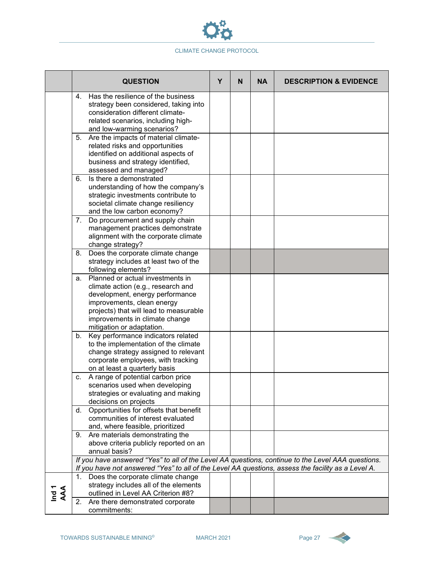

|                  | <b>QUESTION</b>                                                                                    | Y | N | <b>NA</b> | <b>DESCRIPTION &amp; EVIDENCE</b> |
|------------------|----------------------------------------------------------------------------------------------------|---|---|-----------|-----------------------------------|
|                  | Has the resilience of the business<br>4.                                                           |   |   |           |                                   |
|                  | strategy been considered, taking into<br>consideration different climate-                          |   |   |           |                                   |
|                  | related scenarios, including high-                                                                 |   |   |           |                                   |
|                  | and low-warming scenarios?                                                                         |   |   |           |                                   |
|                  | Are the impacts of material climate-<br>5.                                                         |   |   |           |                                   |
|                  | related risks and opportunities                                                                    |   |   |           |                                   |
|                  | identified on additional aspects of                                                                |   |   |           |                                   |
|                  | business and strategy identified,                                                                  |   |   |           |                                   |
|                  | assessed and managed?                                                                              |   |   |           |                                   |
|                  | Is there a demonstrated<br>6.                                                                      |   |   |           |                                   |
|                  | understanding of how the company's                                                                 |   |   |           |                                   |
|                  | strategic investments contribute to                                                                |   |   |           |                                   |
|                  | societal climate change resiliency                                                                 |   |   |           |                                   |
|                  | and the low carbon economy?<br>7. Do procurement and supply chain                                  |   |   |           |                                   |
|                  | management practices demonstrate                                                                   |   |   |           |                                   |
|                  | alignment with the corporate climate                                                               |   |   |           |                                   |
|                  | change strategy?                                                                                   |   |   |           |                                   |
|                  | Does the corporate climate change<br>8.                                                            |   |   |           |                                   |
|                  | strategy includes at least two of the                                                              |   |   |           |                                   |
|                  | following elements?                                                                                |   |   |           |                                   |
|                  | Planned or actual investments in<br>a.                                                             |   |   |           |                                   |
|                  | climate action (e.g., research and                                                                 |   |   |           |                                   |
|                  | development, energy performance                                                                    |   |   |           |                                   |
|                  | improvements, clean energy                                                                         |   |   |           |                                   |
|                  | projects) that will lead to measurable                                                             |   |   |           |                                   |
|                  | improvements in climate change<br>mitigation or adaptation.                                        |   |   |           |                                   |
|                  | Key performance indicators related<br>b.                                                           |   |   |           |                                   |
|                  | to the implementation of the climate                                                               |   |   |           |                                   |
|                  | change strategy assigned to relevant                                                               |   |   |           |                                   |
|                  | corporate employees, with tracking                                                                 |   |   |           |                                   |
|                  | on at least a quarterly basis                                                                      |   |   |           |                                   |
|                  | A range of potential carbon price<br>С.                                                            |   |   |           |                                   |
|                  | scenarios used when developing                                                                     |   |   |           |                                   |
|                  | strategies or evaluating and making                                                                |   |   |           |                                   |
|                  | decisions on projects                                                                              |   |   |           |                                   |
|                  | Opportunities for offsets that benefit<br>d.<br>communities of interest evaluated                  |   |   |           |                                   |
|                  | and, where feasible, prioritized                                                                   |   |   |           |                                   |
|                  | 9. Are materials demonstrating the                                                                 |   |   |           |                                   |
|                  | above criteria publicly reported on an                                                             |   |   |           |                                   |
|                  | annual basis?                                                                                      |   |   |           |                                   |
|                  | If you have answered "Yes" to all of the Level AA questions, continue to the Level AAA questions.  |   |   |           |                                   |
|                  | If you have not answered "Yes" to all of the Level AA questions, assess the facility as a Level A. |   |   |           |                                   |
|                  | Does the corporate climate change                                                                  |   |   |           |                                   |
|                  | strategy includes all of the elements                                                              |   |   |           |                                   |
| Ind <sub>1</sub> | outlined in Level AA Criterion #8?                                                                 |   |   |           |                                   |
|                  | 2.<br>Are there demonstrated corporate<br>commitments:                                             |   |   |           |                                   |

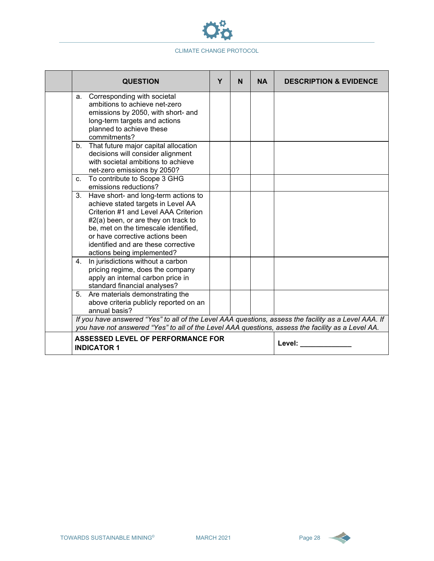

| <b>QUESTION</b>                                                                                                                                                                                                                                                                                                                                                                             | Y      | N | <b>NA</b> | <b>DESCRIPTION &amp; EVIDENCE</b> |
|---------------------------------------------------------------------------------------------------------------------------------------------------------------------------------------------------------------------------------------------------------------------------------------------------------------------------------------------------------------------------------------------|--------|---|-----------|-----------------------------------|
| Corresponding with societal<br>а.<br>ambitions to achieve net-zero<br>emissions by 2050, with short- and<br>long-term targets and actions<br>planned to achieve these<br>commitments?                                                                                                                                                                                                       |        |   |           |                                   |
| That future major capital allocation<br>b.<br>decisions will consider alignment<br>with societal ambitions to achieve<br>net-zero emissions by 2050?                                                                                                                                                                                                                                        |        |   |           |                                   |
| c. To contribute to Scope 3 GHG<br>emissions reductions?                                                                                                                                                                                                                                                                                                                                    |        |   |           |                                   |
| 3. Have short- and long-term actions to<br>achieve stated targets in Level AA<br>Criterion #1 and Level AAA Criterion<br>#2(a) been, or are they on track to<br>be, met on the timescale identified,<br>or have corrective actions been<br>identified and are these corrective<br>actions being implemented?<br>In jurisdictions without a carbon<br>4.<br>pricing regime, does the company |        |   |           |                                   |
| apply an internal carbon price in<br>standard financial analyses?                                                                                                                                                                                                                                                                                                                           |        |   |           |                                   |
| 5. Are materials demonstrating the<br>above criteria publicly reported on an<br>annual basis?                                                                                                                                                                                                                                                                                               |        |   |           |                                   |
| If you have answered "Yes" to all of the Level AAA questions, assess the facility as a Level AAA. If<br>you have not answered "Yes" to all of the Level AAA questions, assess the facility as a Level AA.                                                                                                                                                                                   |        |   |           |                                   |
| <b>ASSESSED LEVEL OF PERFORMANCE FOR</b><br><b>INDICATOR 1</b>                                                                                                                                                                                                                                                                                                                              | Level: |   |           |                                   |

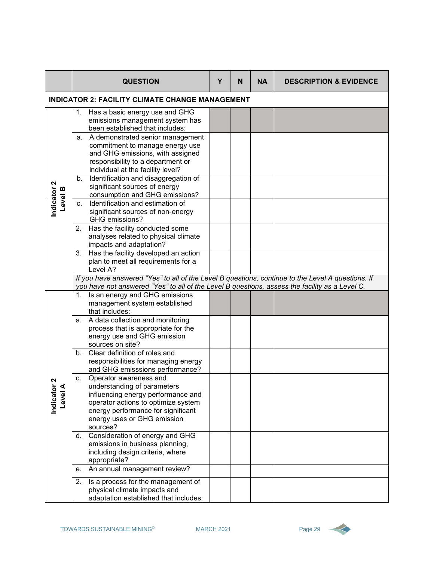|                                          |                                                        | <b>QUESTION</b>                                                                                                                                                                                                     | Y | N | <b>NA</b> | <b>DESCRIPTION &amp; EVIDENCE</b> |  |  |
|------------------------------------------|--------------------------------------------------------|---------------------------------------------------------------------------------------------------------------------------------------------------------------------------------------------------------------------|---|---|-----------|-----------------------------------|--|--|
|                                          | <b>INDICATOR 2: FACILITY CLIMATE CHANGE MANAGEMENT</b> |                                                                                                                                                                                                                     |   |   |           |                                   |  |  |
|                                          | 1.                                                     | Has a basic energy use and GHG<br>emissions management system has<br>been established that includes:                                                                                                                |   |   |           |                                   |  |  |
|                                          |                                                        | a. A demonstrated senior management<br>commitment to manage energy use<br>and GHG emissions, with assigned<br>responsibility to a department or<br>individual at the facility level?                                |   |   |           |                                   |  |  |
| Indicator <sub>2</sub><br><b>Level B</b> | b.                                                     | Identification and disaggregation of<br>significant sources of energy<br>consumption and GHG emissions?                                                                                                             |   |   |           |                                   |  |  |
|                                          | C.                                                     | Identification and estimation of<br>significant sources of non-energy<br>GHG emissions?                                                                                                                             |   |   |           |                                   |  |  |
|                                          |                                                        | 2. Has the facility conducted some<br>analyses related to physical climate<br>impacts and adaptation?                                                                                                               |   |   |           |                                   |  |  |
|                                          |                                                        | 3. Has the facility developed an action<br>plan to meet all requirements for a<br>Level A?                                                                                                                          |   |   |           |                                   |  |  |
|                                          |                                                        | If you have answered "Yes" to all of the Level B questions, continue to the Level A questions. If<br>you have not answered "Yes" to all of the Level B questions, assess the facility as a Level C.                 |   |   |           |                                   |  |  |
|                                          | 1.                                                     | Is an energy and GHG emissions<br>management system established<br>that includes:                                                                                                                                   |   |   |           |                                   |  |  |
|                                          |                                                        | a. A data collection and monitoring<br>process that is appropriate for the<br>energy use and GHG emission<br>sources on site?                                                                                       |   |   |           |                                   |  |  |
|                                          | b.                                                     | Clear definition of roles and<br>responsibilities for managing energy<br>and GHG emisssions performance?                                                                                                            |   |   |           |                                   |  |  |
| ี<br>Indicato<br>Level                   | c.                                                     | Operator awareness and<br>understanding of parameters<br>influencing energy performance and<br>operator actions to optimize system<br>energy performance for significant<br>energy uses or GHG emission<br>sources? |   |   |           |                                   |  |  |
|                                          | d.                                                     | Consideration of energy and GHG<br>emissions in business planning,<br>including design criteria, where<br>appropriate?                                                                                              |   |   |           |                                   |  |  |
|                                          | е.                                                     | An annual management review?                                                                                                                                                                                        |   |   |           |                                   |  |  |
|                                          | 2.                                                     | Is a process for the management of<br>physical climate impacts and<br>adaptation established that includes:                                                                                                         |   |   |           |                                   |  |  |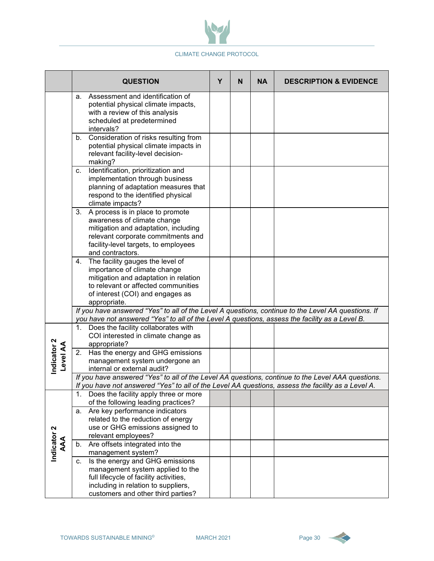

|                         | <b>QUESTION</b>                                                                                                                                                                                              | Y | N | <b>NA</b> | <b>DESCRIPTION &amp; EVIDENCE</b> |
|-------------------------|--------------------------------------------------------------------------------------------------------------------------------------------------------------------------------------------------------------|---|---|-----------|-----------------------------------|
|                         | a. Assessment and identification of<br>potential physical climate impacts,<br>with a review of this analysis<br>scheduled at predetermined<br>intervals?                                                     |   |   |           |                                   |
|                         | Consideration of risks resulting from<br>b.<br>potential physical climate impacts in<br>relevant facility-level decision-<br>making?                                                                         |   |   |           |                                   |
|                         | Identification, prioritization and<br>c.<br>implementation through business<br>planning of adaptation measures that<br>respond to the identified physical<br>climate impacts?                                |   |   |           |                                   |
|                         | 3. A process is in place to promote<br>awareness of climate change<br>mitigation and adaptation, including<br>relevant corporate commitments and<br>facility-level targets, to employees<br>and contractors. |   |   |           |                                   |
|                         | 4. The facility gauges the level of<br>importance of climate change<br>mitigation and adaptation in relation<br>to relevant or affected communities<br>of interest (COI) and engages as<br>appropriate.      |   |   |           |                                   |
|                         | If you have answered "Yes" to all of the Level A questions, continue to the Level AA questions. If<br>you have not answered "Yes" to all of the Level A questions, assess the facility as a Level B.         |   |   |           |                                   |
|                         | Does the facility collaborates with<br>1.<br>COI interested in climate change as<br>appropriate?                                                                                                             |   |   |           |                                   |
| Indicator 2<br>Level AA | Has the energy and GHG emissions<br>2.<br>management system undergone an<br>internal or external audit?                                                                                                      |   |   |           |                                   |
|                         | If you have answered "Yes" to all of the Level AA questions, continue to the Level AAA questions.<br>If you have not answered "Yes" to all of the Level AA questions, assess the facility as a Level A.      |   |   |           |                                   |
|                         | Does the facility apply three or more<br>1.<br>of the following leading practices?                                                                                                                           |   |   |           |                                   |
| Indicator <sub>2</sub>  | a. Are key performance indicators<br>related to the reduction of energy<br>use or GHG emissions assigned to<br>relevant employees?                                                                           |   |   |           |                                   |
| AAA                     | b. Are offsets integrated into the<br>management system?                                                                                                                                                     |   |   |           |                                   |
|                         | Is the energy and GHG emissions<br>C.<br>management system applied to the<br>full lifecycle of facility activities,<br>including in relation to suppliers,<br>customers and other third parties?             |   |   |           |                                   |

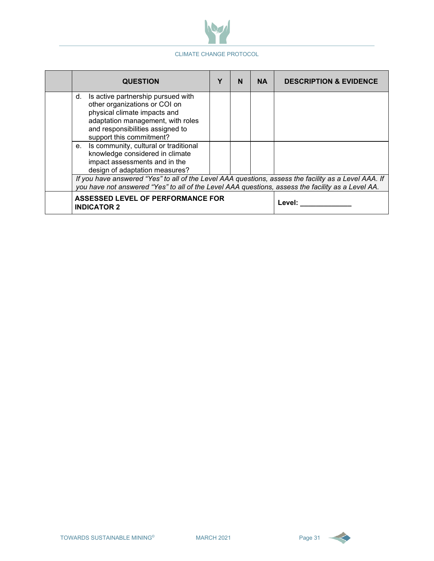

| <b>QUESTION</b>                                                                                                                                                                                                | N      | <b>NA</b> | <b>DESCRIPTION &amp; EVIDENCE</b> |
|----------------------------------------------------------------------------------------------------------------------------------------------------------------------------------------------------------------|--------|-----------|-----------------------------------|
| Is active partnership pursued with<br>d.<br>other organizations or COI on<br>physical climate impacts and<br>adaptation management, with roles<br>and responsibilities assigned to<br>support this commitment? |        |           |                                   |
| Is community, cultural or traditional<br>$e_{\cdot}$<br>knowledge considered in climate<br>impact assessments and in the<br>design of adaptation measures?                                                     |        |           |                                   |
| If you have answered "Yes" to all of the Level AAA questions, assess the facility as a Level AAA. If<br>you have not answered "Yes" to all of the Level AAA questions, assess the facility as a Level AA.      |        |           |                                   |
| <b>ASSESSED LEVEL OF PERFORMANCE FOR</b><br><b>INDICATOR 2</b>                                                                                                                                                 | Level: |           |                                   |

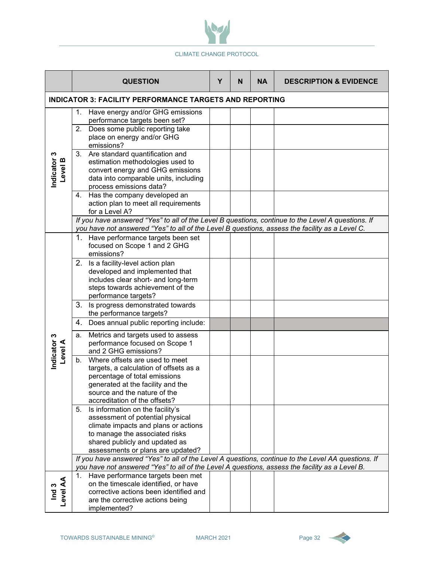

|                               | <b>QUESTION</b>                                                                                                                                                                                                             | Y | N | <b>NA</b> | <b>DESCRIPTION &amp; EVIDENCE</b> |  |  |  |  |
|-------------------------------|-----------------------------------------------------------------------------------------------------------------------------------------------------------------------------------------------------------------------------|---|---|-----------|-----------------------------------|--|--|--|--|
|                               | <b>INDICATOR 3: FACILITY PERFORMANCE TARGETS AND REPORTING</b>                                                                                                                                                              |   |   |           |                                   |  |  |  |  |
|                               | Have energy and/or GHG emissions<br>1.<br>performance targets been set?<br>Does some public reporting take<br>2.<br>place on energy and/or GHG                                                                              |   |   |           |                                   |  |  |  |  |
| Indicator 3<br>Level B        | emissions?<br>Are standard quantification and<br>3.<br>estimation methodologies used to<br>convert energy and GHG emissions<br>data into comparable units, including<br>process emissions data?                             |   |   |           |                                   |  |  |  |  |
|                               | 4. Has the company developed an<br>action plan to meet all requirements<br>for a Level A?                                                                                                                                   |   |   |           |                                   |  |  |  |  |
|                               | If you have answered "Yes" to all of the Level B questions, continue to the Level A questions. If<br>you have not answered "Yes" to all of the Level B questions, assess the facility as a Level C.                         |   |   |           |                                   |  |  |  |  |
|                               | Have performance targets been set<br>focused on Scope 1 and 2 GHG<br>emissions?                                                                                                                                             |   |   |           |                                   |  |  |  |  |
|                               | 2. Is a facility-level action plan<br>developed and implemented that<br>includes clear short- and long-term<br>steps towards achievement of the<br>performance targets?                                                     |   |   |           |                                   |  |  |  |  |
|                               | 3.<br>Is progress demonstrated towards<br>the performance targets?                                                                                                                                                          |   |   |           |                                   |  |  |  |  |
|                               | Does annual public reporting include:<br>4.                                                                                                                                                                                 |   |   |           |                                   |  |  |  |  |
| Indicator 3<br><b>Level A</b> | Metrics and targets used to assess<br>a.<br>performance focused on Scope 1<br>and 2 GHG emissions?                                                                                                                          |   |   |           |                                   |  |  |  |  |
|                               | Where offsets are used to meet<br>b.<br>targets, a calculation of offsets as a<br>percentage of total emissions<br>generated at the facility and the<br>source and the nature of the<br>accreditation of the offsets?       |   |   |           |                                   |  |  |  |  |
|                               | 5.<br>Is information on the facility's<br>assessment of potential physical<br>climate impacts and plans or actions<br>to manage the associated risks<br>shared publicly and updated as<br>assessments or plans are updated? |   |   |           |                                   |  |  |  |  |
|                               | If you have answered "Yes" to all of the Level A questions, continue to the Level AA questions. If<br>you have not answered "Yes" to all of the Level A questions, assess the facility as a Level B.                        |   |   |           |                                   |  |  |  |  |
| Ind 3<br>Level AA             | Have performance targets been met<br>1.<br>on the timescale identified, or have<br>corrective actions been identified and<br>are the corrective actions being<br>implemented?                                               |   |   |           |                                   |  |  |  |  |

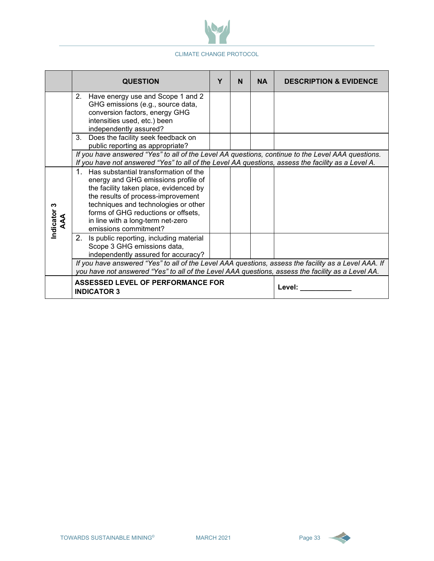

|                       | <b>QUESTION</b>                                                                                                                                                                                                                                                                                                               | Υ      | N | <b>NA</b> | <b>DESCRIPTION &amp; EVIDENCE</b> |
|-----------------------|-------------------------------------------------------------------------------------------------------------------------------------------------------------------------------------------------------------------------------------------------------------------------------------------------------------------------------|--------|---|-----------|-----------------------------------|
|                       | 2. Have energy use and Scope 1 and 2<br>GHG emissions (e.g., source data,<br>conversion factors, energy GHG<br>intensities used, etc.) been<br>independently assured?<br>3. Does the facility seek feedback on                                                                                                                |        |   |           |                                   |
|                       | public reporting as appropriate?<br>If you have answered "Yes" to all of the Level AA questions, continue to the Level AAA questions.<br>If you have not answered "Yes" to all of the Level AA questions, assess the facility as a Level A.                                                                                   |        |   |           |                                   |
| Indicator 3<br>Z<br>Z | 1. Has substantial transformation of the<br>energy and GHG emissions profile of<br>the facility taken place, evidenced by<br>the results of process-improvement<br>techniques and technologies or other<br>forms of GHG reductions or offsets,<br>in line with a long-term net-zero<br>emissions commitment?                  |        |   |           |                                   |
|                       | 2. Is public reporting, including material<br>Scope 3 GHG emissions data,<br>independently assured for accuracy?<br>If you have answered "Yes" to all of the Level AAA questions, assess the facility as a Level AAA. If<br>you have not answered "Yes" to all of the Level AAA questions, assess the facility as a Level AA. |        |   |           |                                   |
|                       | <b>ASSESSED LEVEL OF PERFORMANCE FOR</b><br><b>INDICATOR 3</b>                                                                                                                                                                                                                                                                | Level: |   |           |                                   |